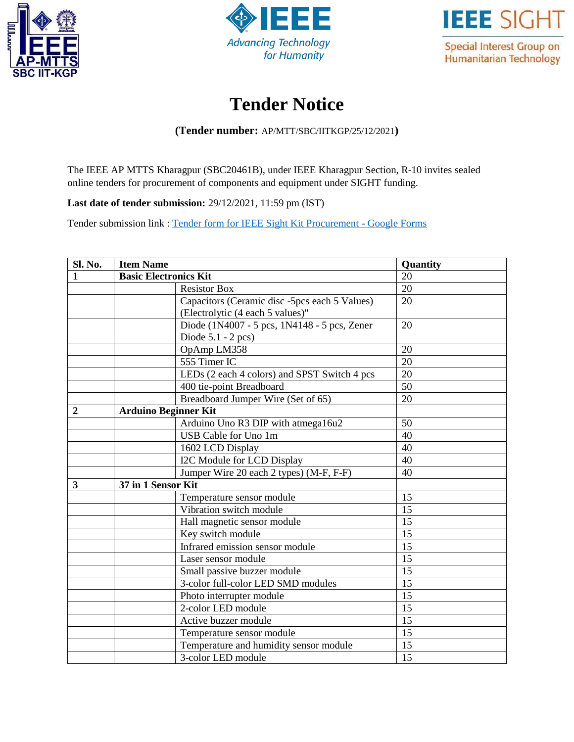





## **Tender Notice**

**(Tender number:** AP/MTT/SBC/IITKGP/25/12/2021**)**

The IEEE AP MTTS Kharagpur (SBC20461B), under IEEE Kharagpur Section, R-10 invites sealed online tenders for procurement of components and equipment under SIGHT funding.

**Last date of tender submission:** 29/12/2021, 11:59 pm (IST)

Tender submission link : [Tender form for IEEE Sight Kit Procurement -](https://docs.google.com/forms/d/1UEyVE96ArhSlzwsAYlfEwOwZXDuYO1-RA1R0jgjxMOQ/edit?ts=61c1ff8f) Google Forms

| Sl. No.          | <b>Item Name</b>             |                                               | Quantity |  |
|------------------|------------------------------|-----------------------------------------------|----------|--|
|                  | <b>Basic Electronics Kit</b> |                                               | 20       |  |
|                  |                              | <b>Resistor Box</b>                           | 20       |  |
|                  |                              | Capacitors (Ceramic disc -5pcs each 5 Values) | 20       |  |
|                  |                              | (Electrolytic (4 each 5 values)"              |          |  |
|                  |                              | Diode (1N4007 - 5 pcs, 1N4148 - 5 pcs, Zener  | 20       |  |
|                  |                              | Diode $5.1 - 2$ pcs)                          |          |  |
|                  |                              | OpAmp LM358                                   | 20       |  |
|                  |                              | 555 Timer IC                                  | 20       |  |
|                  |                              | LEDs (2 each 4 colors) and SPST Switch 4 pcs  | 20       |  |
|                  |                              | 400 tie-point Breadboard                      | 50       |  |
|                  |                              | Breadboard Jumper Wire (Set of 65)            | 20       |  |
| $\boldsymbol{2}$ | <b>Arduino Beginner Kit</b>  |                                               |          |  |
|                  |                              | Arduino Uno R3 DIP with atmega16u2            | 50       |  |
|                  |                              | USB Cable for Uno 1m                          | 40       |  |
|                  |                              | 1602 LCD Display                              | 40       |  |
|                  |                              | I2C Module for LCD Display                    | 40       |  |
|                  |                              | Jumper Wire 20 each 2 types) (M-F, F-F)       | 40       |  |
| 3                | 37 in 1 Sensor Kit           |                                               |          |  |
|                  |                              | Temperature sensor module                     | 15       |  |
|                  |                              | Vibration switch module                       | 15       |  |
|                  |                              | Hall magnetic sensor module                   | 15       |  |
|                  |                              | Key switch module                             | 15       |  |
|                  |                              | Infrared emission sensor module               | 15       |  |
|                  |                              | Laser sensor module                           | 15       |  |
|                  |                              | Small passive buzzer module                   | 15       |  |
|                  |                              | 3-color full-color LED SMD modules            | 15       |  |
|                  |                              | Photo interrupter module                      | 15       |  |
|                  |                              | 2-color LED module                            | 15       |  |
|                  |                              | Active buzzer module                          | 15       |  |
|                  |                              | Temperature sensor module                     | 15       |  |
|                  |                              | Temperature and humidity sensor module        | 15       |  |
|                  |                              | 3-color LED module                            | 15       |  |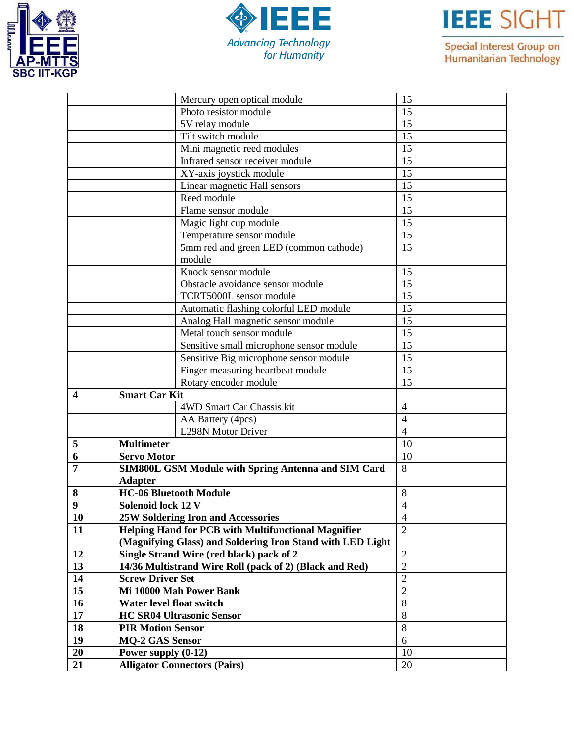





Special Interest Group on<br>Humanitarian Technology

|                  | Mercury open optical module                                | 15             |
|------------------|------------------------------------------------------------|----------------|
|                  | Photo resistor module                                      | 15             |
|                  | 5V relay module                                            | 15             |
|                  | Tilt switch module                                         | 15             |
|                  | Mini magnetic reed modules                                 | 15             |
|                  | Infrared sensor receiver module                            | 15             |
|                  | XY-axis joystick module                                    | 15             |
|                  | Linear magnetic Hall sensors                               | 15             |
|                  | Reed module                                                | 15             |
|                  | Flame sensor module                                        | 15             |
|                  | Magic light cup module                                     | 15             |
|                  | Temperature sensor module                                  | 15             |
|                  | 5mm red and green LED (common cathode)                     | 15             |
|                  | module                                                     |                |
|                  | Knock sensor module                                        | 15             |
|                  | Obstacle avoidance sensor module                           | 15             |
|                  | TCRT5000L sensor module                                    | 15             |
|                  | Automatic flashing colorful LED module                     | 15             |
|                  | Analog Hall magnetic sensor module                         | 15             |
|                  | Metal touch sensor module                                  | 15             |
|                  | Sensitive small microphone sensor module                   | 15             |
|                  | Sensitive Big microphone sensor module                     | 15             |
|                  | Finger measuring heartbeat module                          | 15             |
|                  | Rotary encoder module                                      | 15             |
| $\boldsymbol{4}$ | <b>Smart Car Kit</b>                                       |                |
|                  | 4WD Smart Car Chassis kit                                  | $\overline{4}$ |
|                  | AA Battery (4pcs)                                          | $\overline{4}$ |
|                  | L298N Motor Driver                                         | $\overline{4}$ |
| 5                | <b>Multimeter</b>                                          | 10             |
| 6                | <b>Servo Motor</b>                                         | 10             |
| $\overline{7}$   | <b>SIM800L GSM Module with Spring Antenna and SIM Card</b> | 8              |
|                  | <b>Adapter</b>                                             |                |
| 8                | <b>HC-06 Bluetooth Module</b>                              | 8              |
| $\boldsymbol{9}$ | Solenoid lock 12 V                                         | 4              |
| 10               | <b>25W Soldering Iron and Accessories</b>                  | 4              |
| 11               | <b>Helping Hand for PCB with Multifunctional Magnifier</b> | $\overline{2}$ |
|                  | (Magnifying Glass) and Soldering Iron Stand with LED Light |                |
| 12               | Single Strand Wire (red black) pack of 2                   | $\overline{2}$ |
| 13               | 14/36 Multistrand Wire Roll (pack of 2) (Black and Red)    | $\overline{2}$ |
| 14               | <b>Screw Driver Set</b>                                    | $\overline{2}$ |
| 15               | Mi 10000 Mah Power Bank                                    | $\overline{2}$ |
| 16               | Water level float switch                                   | 8              |
| 17               | <b>HC SR04 Ultrasonic Sensor</b>                           | 8              |
| 18               | <b>PIR Motion Sensor</b>                                   | 8              |
| 19               | <b>MQ-2 GAS Sensor</b>                                     | 6              |
| 20               | Power supply (0-12)                                        | 10             |
| 21               | <b>Alligator Connectors (Pairs)</b>                        | 20             |